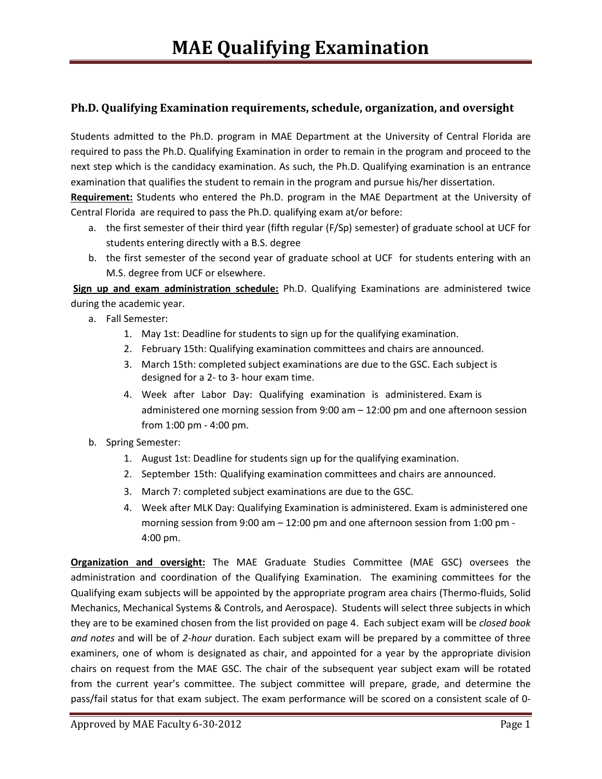# **Ph.D. Qualifying Examination requirements, schedule, organization, and oversight**

Students admitted to the Ph.D. program in MAE Department at the University of Central Florida are required to pass the Ph.D. Qualifying Examination in order to remain in the program and proceed to the next step which is the candidacy examination. As such, the Ph.D. Qualifying examination is an entrance examination that qualifies the student to remain in the program and pursue his/her dissertation.

**Requirement:** Students who entered the Ph.D. program in the MAE Department at the University of Central Florida are required to pass the Ph.D. qualifying exam at/or before:

- a. the first semester of their third year (fifth regular (F/Sp) semester) of graduate school at UCF for students entering directly with a B.S. degree
- b. the first semester of the second year of graduate school at UCF for students entering with an M.S. degree from UCF or elsewhere.

**Sign up and exam administration schedule:** Ph.D. Qualifying Examinations are administered twice during the academic year.

- a. Fall Semester:
	- 1. May 1st: Deadline for students to sign up for the qualifying examination.
	- 2. February 15th: Qualifying examination committees and chairs are announced.
	- 3. March 15th: completed subject examinations are due to the GSC. Each subject is designed for a 2- to 3- hour exam time.
	- 4. Week after Labor Day: Qualifying examination is administered. Exam is administered one morning session from 9:00 am – 12:00 pm and one afternoon session from 1:00 pm - 4:00 pm.
- b. Spring Semester:
	- 1. August 1st: Deadline for students sign up for the qualifying examination.
	- 2. September 15th: Qualifying examination committees and chairs are announced.
	- 3. March 7: completed subject examinations are due to the GSC.
	- 4. Week after MLK Day: Qualifying Examination is administered. Exam is administered one morning session from 9:00 am – 12:00 pm and one afternoon session from 1:00 pm - 4:00 pm.

**Organization and oversight:** The MAE Graduate Studies Committee (MAE GSC) oversees the administration and coordination of the Qualifying Examination. The examining committees for the Qualifying exam subjects will be appointed by the appropriate program area chairs (Thermo-fluids, Solid Mechanics, Mechanical Systems & Controls, and Aerospace). Students will select three subjects in which they are to be examined chosen from the list provided on page 4. Each subject exam will be *closed book and notes* and will be of *2-hour* duration. Each subject exam will be prepared by a committee of three examiners, one of whom is designated as chair, and appointed for a year by the appropriate division chairs on request from the MAE GSC. The chair of the subsequent year subject exam will be rotated from the current year's committee. The subject committee will prepare, grade, and determine the pass/fail status for that exam subject. The exam performance will be scored on a consistent scale of 0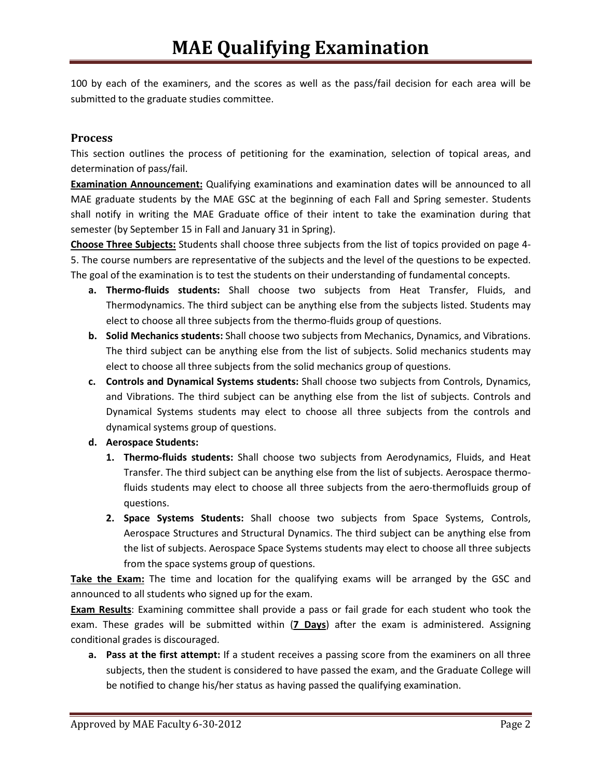100 by each of the examiners, and the scores as well as the pass/fail decision for each area will be submitted to the graduate studies committee.

# **Process**

This section outlines the process of petitioning for the examination, selection of topical areas, and determination of pass/fail.

**Examination Announcement:** Qualifying examinations and examination dates will be announced to all MAE graduate students by the MAE GSC at the beginning of each Fall and Spring semester. Students shall notify in writing the MAE Graduate office of their intent to take the examination during that semester (by September 15 in Fall and January 31 in Spring).

**Choose Three Subjects:** Students shall choose three subjects from the list of topics provided on page 4- 5. The course numbers are representative of the subjects and the level of the questions to be expected. The goal of the examination is to test the students on their understanding of fundamental concepts.

- **a. Thermo-fluids students:** Shall choose two subjects from Heat Transfer, Fluids, and Thermodynamics. The third subject can be anything else from the subjects listed. Students may elect to choose all three subjects from the thermo-fluids group of questions.
- **b. Solid Mechanics students:** Shall choose two subjects from Mechanics, Dynamics, and Vibrations. The third subject can be anything else from the list of subjects. Solid mechanics students may elect to choose all three subjects from the solid mechanics group of questions.
- **c. Controls and Dynamical Systems students:** Shall choose two subjects from Controls, Dynamics, and Vibrations. The third subject can be anything else from the list of subjects. Controls and Dynamical Systems students may elect to choose all three subjects from the controls and dynamical systems group of questions.
- **d. Aerospace Students:** 
	- **1. Thermo-fluids students:** Shall choose two subjects from Aerodynamics, Fluids, and Heat Transfer. The third subject can be anything else from the list of subjects. Aerospace thermofluids students may elect to choose all three subjects from the aero-thermofluids group of questions.
	- **2. Space Systems Students:** Shall choose two subjects from Space Systems, Controls, Aerospace Structures and Structural Dynamics. The third subject can be anything else from the list of subjects. Aerospace Space Systems students may elect to choose all three subjects from the space systems group of questions.

**Take the Exam:** The time and location for the qualifying exams will be arranged by the GSC and announced to all students who signed up for the exam.

**Exam Results**: Examining committee shall provide a pass or fail grade for each student who took the exam. These grades will be submitted within (**7 Days**) after the exam is administered. Assigning conditional grades is discouraged.

**a. Pass at the first attempt:** If a student receives a passing score from the examiners on all three subjects, then the student is considered to have passed the exam, and the Graduate College will be notified to change his/her status as having passed the qualifying examination.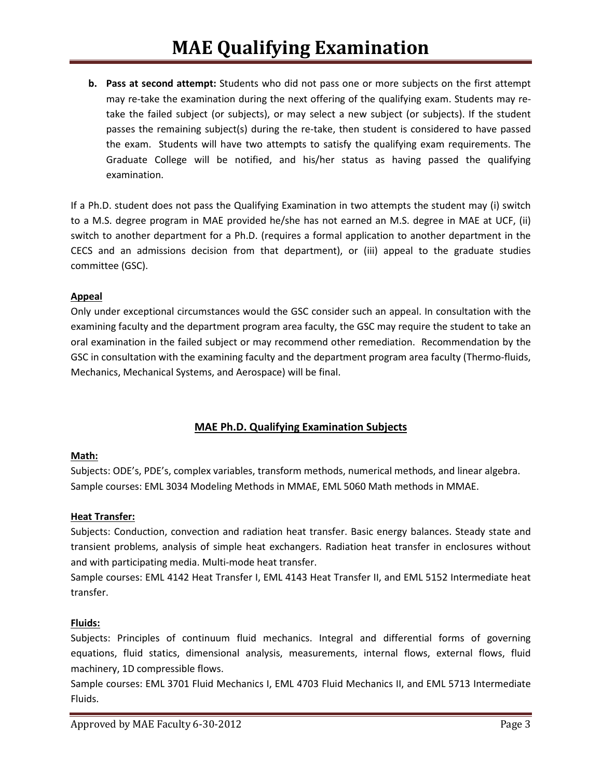**b. Pass at second attempt:** Students who did not pass one or more subjects on the first attempt may re-take the examination during the next offering of the qualifying exam. Students may retake the failed subject (or subjects), or may select a new subject (or subjects). If the student passes the remaining subject(s) during the re-take, then student is considered to have passed the exam. Students will have two attempts to satisfy the qualifying exam requirements. The Graduate College will be notified, and his/her status as having passed the qualifying examination.

If a Ph.D. student does not pass the Qualifying Examination in two attempts the student may (i) switch to a M.S. degree program in MAE provided he/she has not earned an M.S. degree in MAE at UCF, (ii) switch to another department for a Ph.D. (requires a formal application to another department in the CECS and an admissions decision from that department), or (iii) appeal to the graduate studies committee (GSC).

## **Appeal**

Only under exceptional circumstances would the GSC consider such an appeal. In consultation with the examining faculty and the department program area faculty, the GSC may require the student to take an oral examination in the failed subject or may recommend other remediation. Recommendation by the GSC in consultation with the examining faculty and the department program area faculty (Thermo-fluids, Mechanics, Mechanical Systems, and Aerospace) will be final.

# **MAE Ph.D. Qualifying Examination Subjects**

### **Math:**

Subjects: ODE's, PDE's, complex variables, transform methods, numerical methods, and linear algebra. Sample courses: EML 3034 Modeling Methods in MMAE, EML 5060 Math methods in MMAE.

# **Heat Transfer:**

Subjects: Conduction, convection and radiation heat transfer. Basic energy balances. Steady state and transient problems, analysis of simple heat exchangers. Radiation heat transfer in enclosures without and with participating media. Multi-mode heat transfer.

Sample courses: EML 4142 Heat Transfer I, EML 4143 Heat Transfer II, and EML 5152 Intermediate heat transfer.

### **Fluids:**

Subjects: Principles of continuum fluid mechanics. Integral and differential forms of governing equations, fluid statics, dimensional analysis, measurements, internal flows, external flows, fluid machinery, 1D compressible flows.

Sample courses: EML 3701 Fluid Mechanics I, EML 4703 Fluid Mechanics II, and EML 5713 Intermediate Fluids.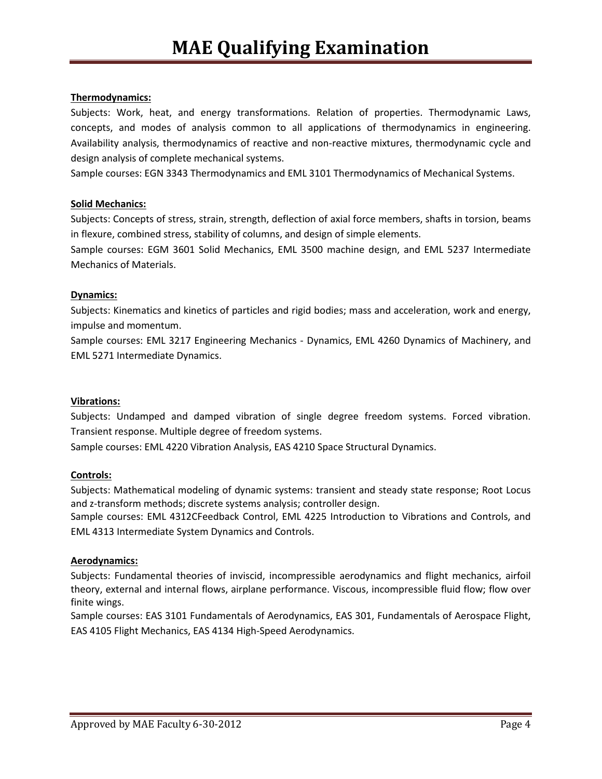## **Thermodynamics:**

Subjects: Work, heat, and energy transformations. Relation of properties. Thermodynamic Laws, concepts, and modes of analysis common to all applications of thermodynamics in engineering. Availability analysis, thermodynamics of reactive and non-reactive mixtures, thermodynamic cycle and design analysis of complete mechanical systems.

Sample courses: EGN 3343 Thermodynamics and EML 3101 Thermodynamics of Mechanical Systems.

## **Solid Mechanics:**

Subjects: Concepts of stress, strain, strength, deflection of axial force members, shafts in torsion, beams in flexure, combined stress, stability of columns, and design of simple elements.

Sample courses: EGM 3601 Solid Mechanics, EML 3500 machine design, and EML 5237 Intermediate Mechanics of Materials.

### **Dynamics:**

Subjects: Kinematics and kinetics of particles and rigid bodies; mass and acceleration, work and energy, impulse and momentum.

Sample courses: EML 3217 Engineering Mechanics - Dynamics, EML 4260 Dynamics of Machinery, and EML 5271 Intermediate Dynamics.

### **Vibrations:**

Subjects: Undamped and damped vibration of single degree freedom systems. Forced vibration. Transient response. Multiple degree of freedom systems.

Sample courses: EML 4220 Vibration Analysis, EAS 4210 Space Structural Dynamics.

### **Controls:**

Subjects: Mathematical modeling of dynamic systems: transient and steady state response; Root Locus and z-transform methods; discrete systems analysis; controller design.

Sample courses: EML 4312CFeedback Control, EML 4225 Introduction to Vibrations and Controls, and EML 4313 Intermediate System Dynamics and Controls.

### **Aerodynamics:**

Subjects: Fundamental theories of inviscid, incompressible aerodynamics and flight mechanics, airfoil theory, external and internal flows, airplane performance. Viscous, incompressible fluid flow; flow over finite wings.

Sample courses: EAS 3101 Fundamentals of Aerodynamics, EAS 301, Fundamentals of Aerospace Flight, EAS 4105 Flight Mechanics, EAS 4134 High-Speed Aerodynamics.